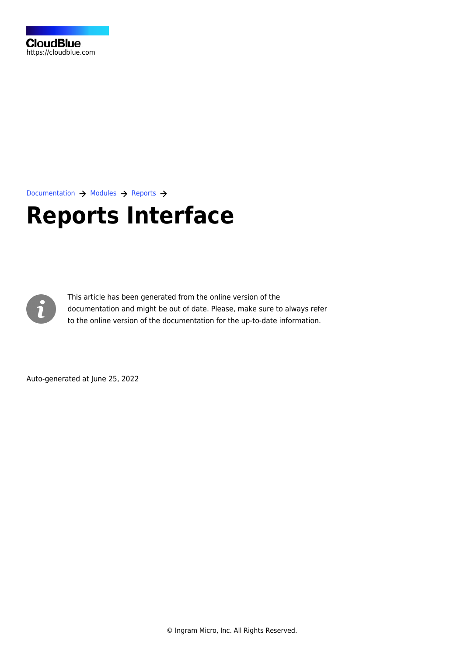

[Documentation](https://connect.cloudblue.com/documentation)  $\rightarrow$  [Modules](https://connect.cloudblue.com/community/modules/)  $\rightarrow$  [Reports](https://connect.cloudblue.com/community/modules/reports/)  $\rightarrow$ 

# **[Reports Interface](https://connect.cloudblue.com/community/modules/reports/user-interface/)**



This article has been generated from the online version of the documentation and might be out of date. Please, make sure to always refer to the online version of the documentation for the up-to-date information.

Auto-generated at June 25, 2022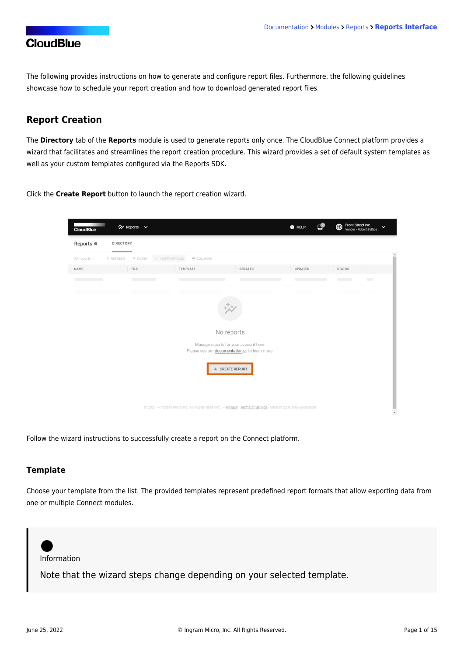The following provides instructions on how to generate and configure report files. Furthermore, the following guidelines showcase how to schedule your report creation and how to download generated report files.

### **Report Creation**

The **Directory** tab of the **Reports** module is used to generate reports only once. The CloudBlue Connect platform provides a wizard that facilitates and streamlines the report creation procedure. This wizard provides a set of default system templates as well as your custom templates configured via the [Reports SDK](https://connect.cloudblue.com/community/sdk/connect-reports-sdk/).

Click the **Create Report** button to launch the report creation wizard.



Follow the wizard instructions to successfully create a report on the Connect platform.

#### **Template**

Choose your template from the list. The provided templates represent predefined report formats that allow exporting data from one or multiple Connect modules.

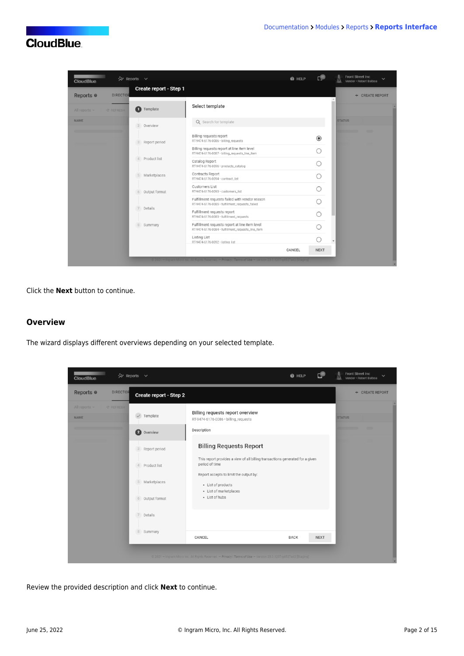| Create report - Step 1<br>Reports <sup>o</sup><br><b>DIRECTOR</b><br>+ CREATE REPORT<br>Select template<br>O<br>Template<br>All reports $\vee$<br><b>C REFRESH</b><br><b>NAME</b><br><b>STATUS</b><br>Q Search for template<br>$\overline{2}$<br>Overview<br>Billing requests report<br>$\circledcirc$<br>RT-9474-6176-0086 · billing_requests<br>Report period<br>3<br>Billing requests report at line item level<br>RT-9474-6176-0087 · billing_requests_line_item<br>Product list<br>$\Delta$<br>Catalog Report<br>RT-9474-6176-0096 · products_catalog |  |
|------------------------------------------------------------------------------------------------------------------------------------------------------------------------------------------------------------------------------------------------------------------------------------------------------------------------------------------------------------------------------------------------------------------------------------------------------------------------------------------------------------------------------------------------------------|--|
|                                                                                                                                                                                                                                                                                                                                                                                                                                                                                                                                                            |  |
|                                                                                                                                                                                                                                                                                                                                                                                                                                                                                                                                                            |  |
|                                                                                                                                                                                                                                                                                                                                                                                                                                                                                                                                                            |  |
|                                                                                                                                                                                                                                                                                                                                                                                                                                                                                                                                                            |  |
|                                                                                                                                                                                                                                                                                                                                                                                                                                                                                                                                                            |  |
|                                                                                                                                                                                                                                                                                                                                                                                                                                                                                                                                                            |  |
| Contracts Report<br>Marketplaces<br>5<br>RT-9474-6176-0094 · contract_list                                                                                                                                                                                                                                                                                                                                                                                                                                                                                 |  |
| <b>Customers List</b><br>RT-9474-6176-0093 · customers_list<br>Output format<br>6                                                                                                                                                                                                                                                                                                                                                                                                                                                                          |  |
| Fulfillment requests failed with vendor reason<br>RT-9474-6176-0085 · fulfillment_requests_failed<br>Details<br>$\overline{7}$                                                                                                                                                                                                                                                                                                                                                                                                                             |  |
| Fulfillment requests report<br>RT-9474-6176-0083 · fulfillment_requests                                                                                                                                                                                                                                                                                                                                                                                                                                                                                    |  |
| Fulfillment requests report at line item level<br>8 Summary<br>RT-9474-6176-0084 · fulfillment_requests_line_item                                                                                                                                                                                                                                                                                                                                                                                                                                          |  |
| <b>Listing List</b><br>RT-9474-6176-0092 · listing list                                                                                                                                                                                                                                                                                                                                                                                                                                                                                                    |  |
| CANCEL<br><b>NEXT</b><br>@ 2021 - Ingram Micro Inc. All Rights Reserved - Privacy   Terms of Use - Version 23.0.1207-g4527a42  Staging                                                                                                                                                                                                                                                                                                                                                                                                                     |  |

Click the **Next** button to continue.

#### **Overview**

The wizard displays different overviews depending on your selected template.

| <b>CloudBlue</b>                                      | ☆ Reports ∨                 | c<br><b>O</b> HELP                                                                                              | Front Street Inc<br>w<br>Vendor · Robert Balboa |
|-------------------------------------------------------|-----------------------------|-----------------------------------------------------------------------------------------------------------------|-------------------------------------------------|
| Reports <sup>®</sup><br><b>DIRECTOR</b>               | Create report - Step 2      |                                                                                                                 | + CREATE REPORT                                 |
| All reports $\vee$<br><b>C REFRESH</b><br><b>NAME</b> | Template                    | Billing requests report overview<br>RT-9474-6176-0086 · billing_requests                                        | <b>STATUS</b>                                   |
|                                                       | $\bullet$<br>Overview       | Description                                                                                                     | ╌                                               |
|                                                       | $\sqrt{3}$<br>Report period | <b>Billing Requests Report</b>                                                                                  |                                                 |
|                                                       | Product list<br>4           | This report provides a view of all billing transactions generated for a given<br>period of time                 |                                                 |
|                                                       | Marketplaces<br>5           | Report accepts to limit the output by:<br>- List of products<br>· List of marketplaces                          |                                                 |
|                                                       | Output format<br>6          | - List of hubs                                                                                                  |                                                 |
|                                                       | Details<br>7                |                                                                                                                 |                                                 |
|                                                       | 8 Summary                   | CANCEL<br><b>BACK</b><br><b>NEXT</b>                                                                            |                                                 |
|                                                       |                             | @ 2021 - Ingram Micro Inc. All Rights Reserved. - Privacy   Terms of Use - Version 23.0.1207-g4527a42 [Staging] |                                                 |

Review the provided description and click **Next** to continue.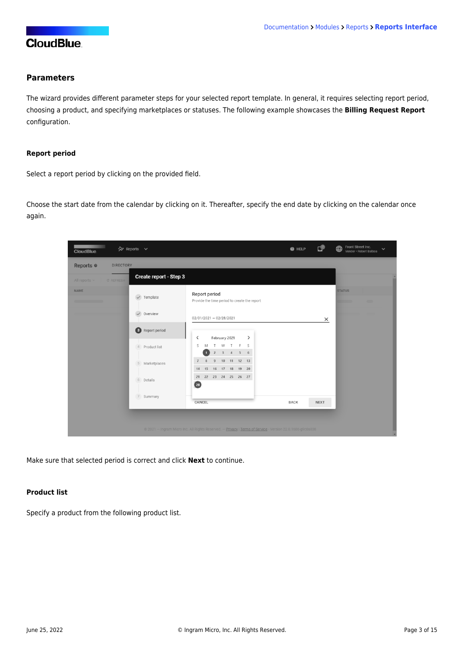### **Parameters**

The wizard provides different parameter steps for your selected report template. In general, it requires selecting report period, choosing a product, and specifying marketplaces or statuses. The following example showcases the **Billing Request Report** configuration.

#### **Report period**

Select a report period by clicking on the provided field.

Choose the start date from the calendar by clicking on it. Thereafter, specify the end date by clicking on the calendar once again.

| ☆ Reports ∨<br><b>CloudBlue</b>                           |                                                                                                           | د©<br><b>O</b> HELP        | Front Street Inc.<br>⊕<br>$\checkmark$<br>Vendor · Robert Balboa |
|-----------------------------------------------------------|-----------------------------------------------------------------------------------------------------------|----------------------------|------------------------------------------------------------------|
| Reports <sup>o</sup><br><b>DIRECTORY</b>                  |                                                                                                           |                            |                                                                  |
| Create report - Step 3<br>All reports $\sim$<br>C REFRESH |                                                                                                           |                            |                                                                  |
| <b>NAME</b><br>$\checkmark$ Template                      | Report period<br>Provide the time period to create the report                                             |                            | <b>STATUS</b><br>$\blacksquare$<br><b>The Common</b>             |
| $\checkmark$<br>Overview                                  | $02/01/2021 - 02/28/2021$                                                                                 | $\times$                   |                                                                  |
| <b>8</b> Report period                                    | $\overline{\phantom{0}}$<br>February 2021<br>$\rightarrow$                                                |                            |                                                                  |
| Product list<br>4                                         | S<br>F S<br>M<br>W<br>$\top$<br>T.<br>$3 \qquad 4 \qquad 5 \qquad 6$<br>$\overline{2}$<br>$\blacksquare$  |                            |                                                                  |
| 5 Marketplaces                                            | $\,$ 8<br>10<br>11 12 13<br>$\overline{7}$<br>$\overline{9}$<br>17  18  19  20<br>15<br>16<br>14          |                            |                                                                  |
| 6 Details                                                 | 22 23 24 25 26 27<br>21<br>$\left( 28\right)$                                                             |                            |                                                                  |
| 7<br>Summary                                              | CANCEL                                                                                                    | <b>BACK</b><br><b>NEXT</b> |                                                                  |
|                                                           | © 2021 - Ingram Micro Inc. All Rights Reserved. - Privacy   Terms of Service - Version 22.0.1606-g9c0a838 |                            |                                                                  |

Make sure that selected period is correct and click **Next** to continue.

#### **Product list**

Specify a product from the following product list.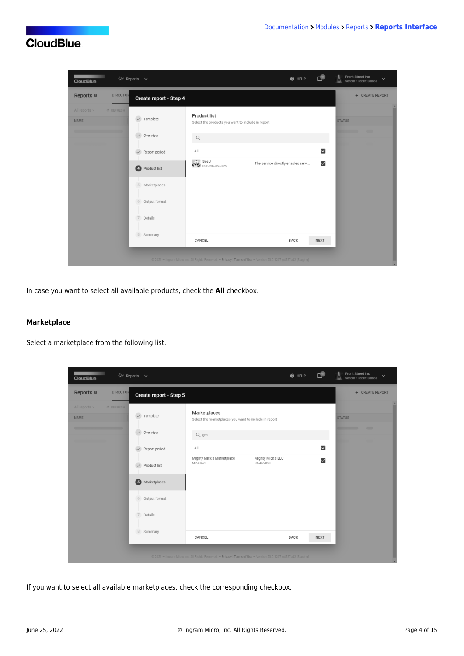

In case you want to select all available products, check the **All** checkbox.

#### **Marketplace**

Select a marketplace from the following list.

| <b>CloudBlue</b>                                      | ☆ Reports ∨               |                                                                                                                 | @ HELP                          | ؈                       | Front Street Inc<br>$\ddotmark$<br>Vendor · Robert Balboa |
|-------------------------------------------------------|---------------------------|-----------------------------------------------------------------------------------------------------------------|---------------------------------|-------------------------|-----------------------------------------------------------|
| Reports <sup>®</sup><br><b>DIRECTOR</b>               | Create report - Step 5    |                                                                                                                 |                                 |                         | + CREATE REPORT                                           |
| All reports $\vee$<br><b>C REFRESH</b><br><b>NAME</b> | Template<br>$\sim$        | Marketplaces<br>Select the marketplaces you want to include in report                                           |                                 |                         | <b>STATUS</b>                                             |
|                                                       | Overview<br>$\sim$        | Q gm                                                                                                            |                                 |                         | $\blacksquare$                                            |
|                                                       | Report period             | All                                                                                                             |                                 | $\overline{\mathbf{v}}$ |                                                           |
|                                                       | Product list              | Mighty Mick's Marketplace<br>MP-47623                                                                           | Mighty Mick's LLC<br>PA-465-053 | $\overline{\mathsf{S}}$ |                                                           |
|                                                       | $\bullet$<br>Marketplaces |                                                                                                                 |                                 |                         |                                                           |
|                                                       | Output format<br>6        |                                                                                                                 |                                 |                         |                                                           |
|                                                       | $\overline{7}$<br>Details |                                                                                                                 |                                 |                         |                                                           |
|                                                       | 8 Summary                 | CANCEL                                                                                                          | <b>BACK</b>                     | <b>NEXT</b>             |                                                           |
|                                                       |                           | @ 2021 - Ingram Micro Inc. All Rights Reserved. - Privacy   Terms of Use - Version 23.0.1207-94527a42 [Staging] |                                 |                         |                                                           |

If you want to select all available marketplaces, check the corresponding checkbox.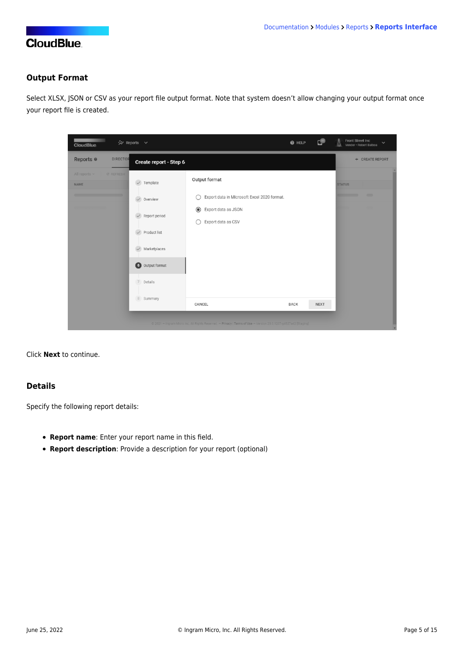### **Output Format**

Select XLSX, JSON or CSV as your report file output format. Note that system doesn't allow changing your output format once your report file is created.

| <b>CloudBlue</b>                                      | ☆ Reports ∨                                                                                 |                                                                                                                           | @ HELP      | ⊕           | Front Street Inc<br>$\checkmark$<br>Vendor · Robert Balboa |
|-------------------------------------------------------|---------------------------------------------------------------------------------------------|---------------------------------------------------------------------------------------------------------------------------|-------------|-------------|------------------------------------------------------------|
| Reports <sup>®</sup><br><b>DIRECTOR</b>               | Create report - Step 6                                                                      |                                                                                                                           |             |             | + CREATE REPORT                                            |
| All reports $\sim$<br><b>C REFRESH</b><br><b>NAME</b> | Template<br>$\checkmark$                                                                    | Output format                                                                                                             |             |             | <b>STATUS</b>                                              |
|                                                       | $\checkmark$<br>Overview                                                                    | Export data in Microsoft Excel 2020 format.<br>С                                                                          |             |             | $\blacksquare$                                             |
|                                                       | Report period<br>Product list<br>Marketplaces<br>$\bullet$<br>Output format<br>7<br>Details | $\circledcirc$<br>Export data as JSON<br>Export data as CSV                                                               |             |             |                                                            |
|                                                       | 8 Summary                                                                                   | CANCEL<br>@ 2021 - Ingram Micro Inc. All Rights Reserved. - Privacy   Terms of Use - Version 23.0.1207-g4527a42 [Staging] | <b>BACK</b> | <b>NEXT</b> |                                                            |

Click **Next** to continue.

### **Details**

Specify the following report details:

- **Report name**: Enter your report name in this field.
- **Report description**: Provide a description for your report (optional)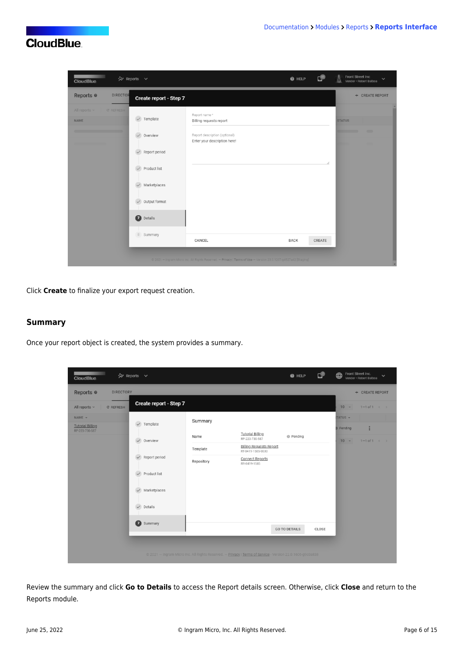| <b>CloudBlue</b>                                      | ☆ Reports ∨                                                                                                                                                                                                    |                                                                                                                 | <b>O</b> HELP | د®     | Front Street Inc<br>$\checkmark$<br>Vendor · Robert Balboa |
|-------------------------------------------------------|----------------------------------------------------------------------------------------------------------------------------------------------------------------------------------------------------------------|-----------------------------------------------------------------------------------------------------------------|---------------|--------|------------------------------------------------------------|
| <b>DIRECTOR</b><br>Reports <sup>o</sup>               | Create report - Step 7                                                                                                                                                                                         |                                                                                                                 |               |        | + CREATE REPORT                                            |
| All reports $\vee$<br><b>C REFRESH</b><br><b>NAME</b> | $\checkmark$<br>Template<br>$\checkmark$<br>Overview<br>$\checkmark$<br>Report period<br>$\checkmark$<br>Product list<br>Marketplaces<br>$\checkmark$<br>Output format<br>$\checkmark$<br>$\bullet$<br>Details | Report name*<br>Billing requests report<br>Report description (optional)<br>Enter your description here!        |               |        | <b>STATUS</b><br>$\blacksquare$                            |
|                                                       | 8 Summary                                                                                                                                                                                                      | CANCEL                                                                                                          | <b>BACK</b>   | CREATE |                                                            |
|                                                       |                                                                                                                                                                                                                | @ 2021 - Ingram Micro Inc. All Rights Reserved. - Privacy   Terms of Use - Version 23.0.1207-94527a42 [Staging] |               |        |                                                            |

Click **Create** to finalize your export request creation.

### **Summary**

Once your report object is created, the system provides a summary.

| ☆ Reports ∨<br><b>CloudBlue</b>                                  |                                                                                                           |                                                  | <b>O</b> HELP        | د©    | Front Street Inc.<br>$\bigoplus$<br>$\checkmark$<br>Vendor · Robert Balboa |
|------------------------------------------------------------------|-----------------------------------------------------------------------------------------------------------|--------------------------------------------------|----------------------|-------|----------------------------------------------------------------------------|
| Reports <sup>o</sup><br><b>DIRECTORY</b>                         |                                                                                                           |                                                  |                      |       | + CREATE REPORT                                                            |
| Create report - Step 7<br>All reports $\sim$<br><b>C REFRESH</b> |                                                                                                           |                                                  |                      |       | $10 -$<br>$1 - 1$ of $1 \leq$                                              |
| $NAME$ $\star$<br>$\checkmark$<br>Template                       | Summary                                                                                                   |                                                  |                      |       | TATUS -                                                                    |
| <b>Tutorial Billing</b><br>RP-223-730-587                        |                                                                                                           | <b>Tutorial Billing</b>                          |                      |       | ÷<br><b>Pending</b>                                                        |
| Overview<br>$\checkmark$                                         | Name                                                                                                      | RP-223-730-587<br><b>Billing Requests Report</b> | <b>O</b> Pending     |       | $10 -$<br>$1 - 1$ of $1 \leq$                                              |
| Report period<br>$\checkmark$                                    | Template                                                                                                  | RT-8419-1585-0030                                |                      |       |                                                                            |
|                                                                  | Repository                                                                                                | <b>Connect Reports</b><br>RR-8419-1585           |                      |       |                                                                            |
| Product list<br>$\checkmark$                                     |                                                                                                           |                                                  |                      |       |                                                                            |
| Marketplaces<br>$\checkmark$                                     |                                                                                                           |                                                  |                      |       |                                                                            |
| Details<br>$\overline{\phantom{0}}$                              |                                                                                                           |                                                  |                      |       |                                                                            |
| Ω<br>Summary                                                     |                                                                                                           |                                                  | <b>GO TO DETAILS</b> | CLOSE |                                                                            |
|                                                                  |                                                                                                           |                                                  |                      |       |                                                                            |
|                                                                  | © 2021 - Ingram Micro Inc. All Rights Reserved. - Privacy   Terms of Service - Version 22.0.1606-g9c0a838 |                                                  |                      |       |                                                                            |
|                                                                  |                                                                                                           |                                                  |                      |       |                                                                            |

Review the summary and click **Go to Details** to access the Report details screen. Otherwise, click **Close** and return to the Reports module.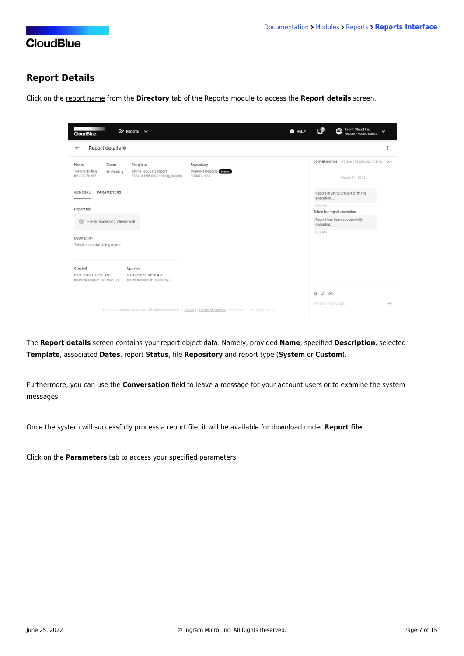### **Report Details**

Click on the report name from the **Directory** tab of the Reports module to access the **Report details** screen.

| ☆ Reports ∨<br>@ HELP<br><b>CloudBlue</b>                                                                                                                                                                                     | Front Street Inc.<br>сØ<br>⊕<br>$\checkmark$<br>Vendor · Robert Balboa               |
|-------------------------------------------------------------------------------------------------------------------------------------------------------------------------------------------------------------------------------|--------------------------------------------------------------------------------------|
| Report details $\circ$<br>$\leftarrow$                                                                                                                                                                                        | i                                                                                    |
| Template<br><b>Status</b><br>Repository<br>Name<br><b>Tutorial Billing</b><br>Billing requests report<br>Connect Reports System<br><b>O</b> Pending<br>RP-223-730-587<br>RT-8419-1585-0030 · billing_requests<br>RR-8419-1585 | CONVERSATION CO-208-078-292-202-158-121 > <<br>March 11, 2021                        |
| <b>PARAMETERS</b><br>GENERAL                                                                                                                                                                                                  | Report is being prepared for the<br>execution                                        |
| Report file<br>File is processing, please wait.                                                                                                                                                                               | 10:30 AM<br>Token for report execution.<br>Report has been successfully<br>executed. |
| Description<br>This is a tutorial billing report.                                                                                                                                                                             | 10:31 AM                                                                             |
| Updated<br>Created<br>03/11/2021 10:30 AM<br>03/11/2021 10:30 AM<br>Robert Balboa (UR-149-860-972)<br>Robert Balboa (UR-149-860-972)                                                                                          |                                                                                      |
| @ 2021 - Ingram Micro Inc. All Rights Reserved. - Privacy   Terms of Service - Version 22.0.1606-g9c0a838                                                                                                                     | $I \oplus$<br>B<br>$\rightarrow$<br>Write a message                                  |

The **Report details** screen contains your report object data. Namely, provided **Name**, specified **Description**, selected **Template**, associated **Dates**, report **Status**, file **Repository** and report type (**System** or **Custom**).

Furthermore, you can use the **Conversation** field to leave a message for your account users or to examine the system messages.

Once the system will successfully process a report file, it will be available for download under **Report file**.

Click on the **Parameters** tab to access your specified parameters.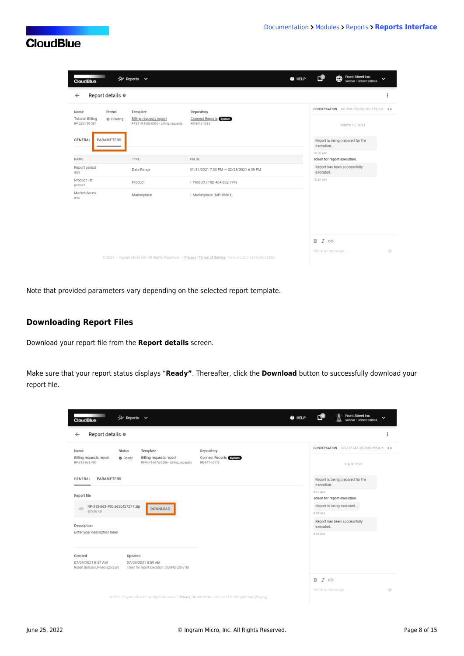| <b>CONTRACTOR</b><br><b>CloudBlue</b>                                           | ☆ Reports ∨                                                                 | <b>O</b> HELP                                                                                             | Front Street Inc.<br>⊕<br>$\checkmark$<br>Vendor · Robert Balboa |               |
|---------------------------------------------------------------------------------|-----------------------------------------------------------------------------|-----------------------------------------------------------------------------------------------------------|------------------------------------------------------------------|---------------|
| Report details $\circ$<br>$\leftarrow$                                          |                                                                             |                                                                                                           |                                                                  | $\vdots$      |
| Status<br>Name<br><b>Tutorial Billing</b><br><b>O</b> Pending<br>RP-223-730-587 | Template<br>Billing requests report<br>RT-8419-1585-0030 · billing_requests | Repository<br>Connect Reports System<br>RR-8419-1585                                                      | CONVERSATION CO-208-078-292-202-158-121 > <<br>March 11, 2021    |               |
| PARAMETERS<br><b>GENERAL</b>                                                    |                                                                             |                                                                                                           | Report is being prepared for the<br>execution<br>10:30 AM        |               |
| NAME                                                                            | TYPE                                                                        | VALUE                                                                                                     | Token for report execution.                                      |               |
| Report period<br>date                                                           | Date Range                                                                  | 01/31/2021 7:00 PM - 02/28/2021 6:59 PM                                                                   | Report has been successfully<br>executed.                        |               |
| Product list<br>product                                                         | Product                                                                     | 1 Product (PRD-404-832-779)                                                                               | 10:31 AM                                                         |               |
| Marketplaces<br>mkp                                                             | Marketplace                                                                 | 1 Marketplace (MP-38661)                                                                                  |                                                                  |               |
|                                                                                 |                                                                             | @ 2021 - Ingram Micro Inc. All Rights Reserved. - Privacy   Terms of Service - Version 22.0.1606-g9c0a838 | B I GD<br>Write a message                                        | $\rightarrow$ |

Note that provided parameters vary depending on the selected report template.

### **Downloading Report Files**

Download your report file from the **Report details** screen.

Make sure that your report status displays "**Ready"**. Thereafter, click the **Download** button to successfully download your report file.

| <b>CONTRACTOR</b><br>☆ Reports ∨<br>@ HELP<br><b>CloudBlue</b>                                                                                                               | <b>Front Street Inc</b><br>$\checkmark$<br>Vendor · Robert Balboa |
|------------------------------------------------------------------------------------------------------------------------------------------------------------------------------|-------------------------------------------------------------------|
| Report details @<br>$\leftarrow$                                                                                                                                             | $\ddot{.}$                                                        |
| Template<br>Repository<br>Name<br>Status                                                                                                                                     | CONVERSATION CO-137-847-387-520-366-626 ><                        |
| Billing requests report<br>Billing requests report<br>Connect Reports System<br><b>&amp;</b> Ready<br>RP-313-663-490<br>RT-9474-6176-0086 · billing_requests<br>RR-9474-6176 | July 9, 2021                                                      |
| <b>PARAMETERS</b><br>GENERAL                                                                                                                                                 | Report is being prepared for the<br>execution                     |
| Report file                                                                                                                                                                  | 8:57 AM<br>Token for report execution.                            |
| RP-313-663-490-a63c427277.zip<br>DOWNLOAD<br>$\subset$                                                                                                                       | Report is being executed                                          |
| 305.88 KB                                                                                                                                                                    | 8:59 AM                                                           |
| Description                                                                                                                                                                  | Report has been successfully<br>executed.                         |
| Enter your description here!                                                                                                                                                 | 8:59 AM                                                           |
|                                                                                                                                                                              |                                                                   |
| Created<br>Updated                                                                                                                                                           |                                                                   |
| 07/09/2021 8:57 AM<br>07/09/2021 8:59 AM<br>Robert Balboa (UR-666-226-259)<br>Token for report execution. (SU-892-520-718)                                                   |                                                                   |
|                                                                                                                                                                              | $I \oplus$<br>B                                                   |
|                                                                                                                                                                              | Write a message<br>$\rightarrow$                                  |
| @ 2021 - Ingram Micro Inc. All Rights Reserved. - Privacy   Terms of Use - Version 23.0.1207-g4527a42 [Staging]                                                              |                                                                   |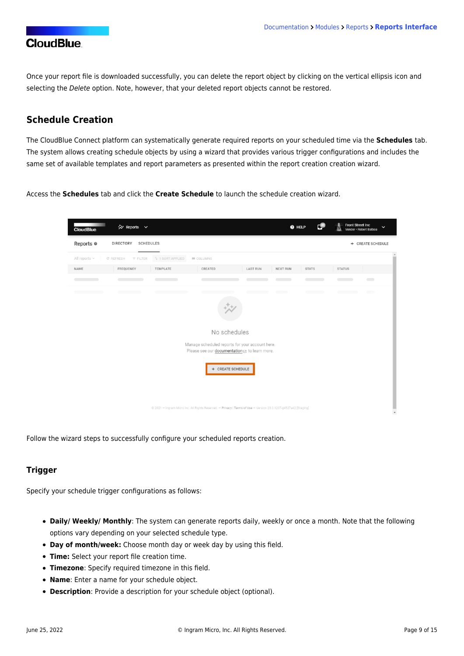Once your report file is downloaded successfully, you can delete the report object by clicking on the vertical ellipsis icon and selecting the Delete option. Note, however, that your deleted report objects cannot be restored.

### **Schedule Creation**

The CloudBlue Connect platform can systematically generate required reports on your scheduled time via the **Schedules** tab. The system allows creating schedule objects by using a wizard that provides various trigger configurations and includes the same set of available templates and report parameters as presented within the report creation creation wizard.

Access the **Schedules** tab and click the **Create Schedule** to launch the schedule creation wizard.



Follow the wizard steps to successfully configure your scheduled reports creation.

#### **Trigger**

Specify your schedule trigger configurations as follows:

- **Daily/ Weekly/ Monthly**: The system can generate reports daily, weekly or once a month. Note that the following options vary depending on your selected schedule type.
- **Day of month/week:** Choose month day or week day by using this field.
- **Time:** Select your report file creation time.
- **Timezone**: Specify required timezone in this field.
- **Name**: Enter a name for your schedule object.
- **Description**: Provide a description for your schedule object (optional).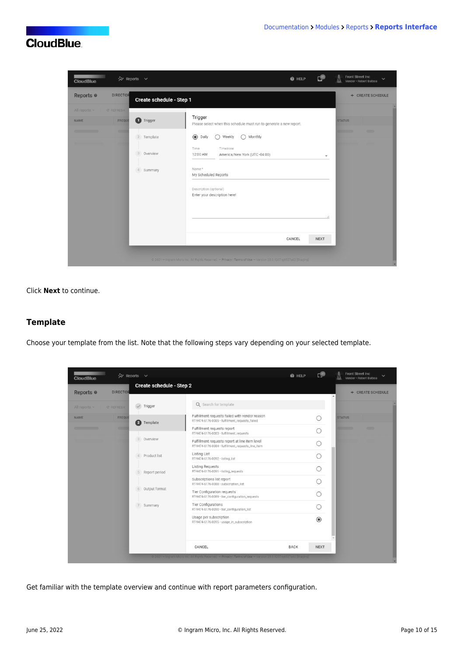

Click **Next** to continue.

#### **Template**

Choose your template from the list. Note that the following steps vary depending on your selected template.

| <b>CloudBlue</b>     |                  | ☆ Reports ∨               |                                                                                                               | @ HELP      | г®             | Front Street Inc<br>Vendor - Robert Balboa |
|----------------------|------------------|---------------------------|---------------------------------------------------------------------------------------------------------------|-------------|----------------|--------------------------------------------|
| Reports <sup>o</sup> | <b>DIRECTOR</b>  | Create schedule - Step 2  |                                                                                                               |             |                | + CREATE SCHEDULE                          |
| All reports $\vee$   | <b>C REFRESH</b> | Trigger                   | Q Search for template                                                                                         |             |                |                                            |
| <b>NAME</b>          | FREQUI           | Ø<br>Template             | Fulfillment requests failed with vendor reason<br>RT-9474-6176-0085 · fulfillment_requests_failed             |             |                | <b>STATUS</b>                              |
|                      | <b>CITY</b>      |                           | Fulfillment requests report<br>RT-9474-6176-0083 · fulfillment_requests                                       |             |                | $\overline{\phantom{a}}$                   |
|                      |                  | Overview<br>3             | Fulfillment requests report at line item level<br>RT-9474-6176-0084 · fulfillment_requests_line_item          |             | ∩              |                                            |
|                      |                  | Product list<br>4         | <b>Listing List</b><br>RT-9474-6176-0092 · listing_list                                                       |             |                |                                            |
|                      |                  | Report period<br>5        | Listing Requests<br>RT-9474-6176-0091 · listing_requests                                                      |             |                |                                            |
|                      |                  |                           | Subscriptions list report<br>RT-9474-6176-0088 · subscription_list                                            |             |                |                                            |
|                      |                  | Output format<br>6        | Tier Configuration requests<br>RT-9474-6176-0089 · tier_configuration_requests                                |             |                |                                            |
|                      |                  | $\overline{7}$<br>Summary | Tier Configurations<br>RT-9474-6176-0090 · tier_configuration_list                                            |             |                |                                            |
|                      |                  |                           | Usage per subscription<br>RT-9474-6176-0095 · usage_in_subscription                                           |             | $\circledcirc$ |                                            |
|                      |                  |                           | CANCEL                                                                                                        | <b>BACK</b> | <b>NEXT</b>    |                                            |
|                      |                  |                           | @ 2021 - Ingram Micro Inc. All Rights Reserved - Privacy   Terms of Use - Version 23.0.1207-g4527a42  Staging |             |                |                                            |

Get familiar with the template overview and continue with report parameters configuration.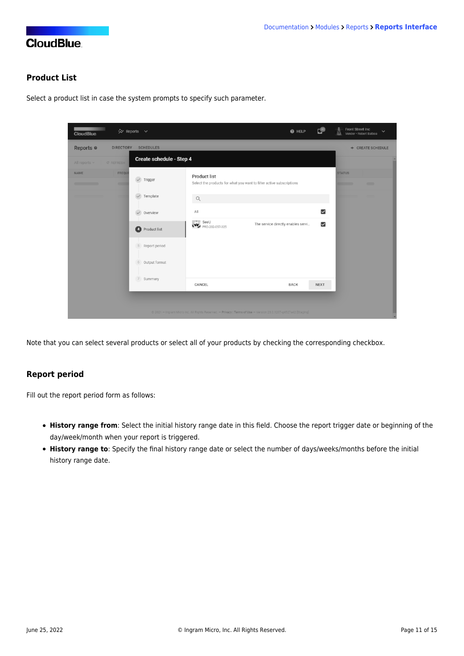### **Product List**

Select a product list in case the system prompts to specify such parameter.

| ☆ Reports ∨<br><b>CloudBlue</b>          |                              |                                                                                                                 | <b>O</b> HELP                      | ピ                       | Front Street Inc<br>Vendor · Robert Balboa           |
|------------------------------------------|------------------------------|-----------------------------------------------------------------------------------------------------------------|------------------------------------|-------------------------|------------------------------------------------------|
| Reports <sup>o</sup><br><b>DIRECTORY</b> | <b>SCHEDULES</b>             |                                                                                                                 |                                    |                         | + CREATE SCHEDULE                                    |
| All reports $\vee$<br><b>C REFRESH</b>   | Create schedule - Step 4     |                                                                                                                 |                                    |                         |                                                      |
| FREQUE<br><b>NAME</b><br>œ               | $\sqrt{\phantom{a}}$ Trigger | Product list<br>Select the products for what you want to filter active subscriptions                            |                                    |                         | <b>STATUS</b><br>$\blacksquare$<br><b>The Common</b> |
|                                          | Template                     | Q                                                                                                               |                                    |                         |                                                      |
|                                          | Overview                     | All                                                                                                             |                                    | $\overline{\mathbf{v}}$ |                                                      |
|                                          | Product list                 | $\therefore$ SeeU<br>PRD-202-057-325                                                                            | The service directly enables servi | $\overline{\mathsf{S}}$ |                                                      |
|                                          | Report period<br>5           |                                                                                                                 |                                    |                         |                                                      |
|                                          | Output format<br>6           |                                                                                                                 |                                    |                         |                                                      |
|                                          | 7<br>Summary                 | CANCEL                                                                                                          | <b>BACK</b>                        | <b>NEXT</b>             |                                                      |
|                                          |                              | @ 2021 - Ingram Micro Inc. All Rights Reserved. - Privacy   Terms of Use - Version 23.0.1207-g4527a42 [Staging] |                                    |                         |                                                      |

Note that you can select several products or select all of your products by checking the corresponding checkbox.

### **Report period**

Fill out the report period form as follows:

- **History range from**: Select the initial history range date in this field. Choose the report trigger date or beginning of the day/week/month when your report is triggered.
- **History range to**: Specify the final history range date or select the number of days/weeks/months before the initial history range date.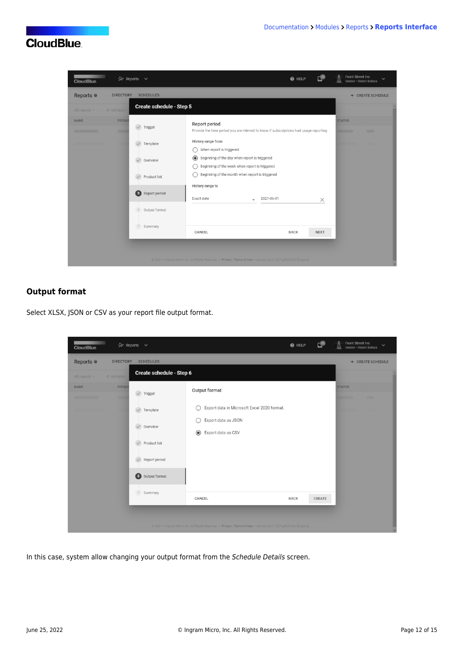| <b>CloudBlue</b>                                                                   | ☆ Reports ∨                                                                                                           | @ HELP                                                                                                                                                                                                                                                                                                                                                                         | Front Street Inc<br>$\checkmark$<br>Vendor · Robert Balboa |
|------------------------------------------------------------------------------------|-----------------------------------------------------------------------------------------------------------------------|--------------------------------------------------------------------------------------------------------------------------------------------------------------------------------------------------------------------------------------------------------------------------------------------------------------------------------------------------------------------------------|------------------------------------------------------------|
| Reports <sup>o</sup><br><b>DIRECTORY</b><br>All reports $\vee$<br><b>C REFRESH</b> | <b>SCHEDULES</b><br>Create schedule - Step 5                                                                          |                                                                                                                                                                                                                                                                                                                                                                                | + CREATE SCHEDULE                                          |
| <b>NAME</b><br><b>FREQUE</b><br><b>COM</b>                                         | $\sqrt{}$ Trigger<br>Template<br>Overview<br>$\checkmark$<br>Product list<br>6<br>Report period<br>Output format<br>6 | Report period<br>Provide the time period you are interest to know if subscriptions had usage reporting<br>History range from<br>When report is triggered<br>$\odot$<br>Beginning of the day when report is triggered<br>Beginning of the week when report is triggered<br>Beginning of the month when report is triggered<br>History range to<br>Exact date<br>2021-06-01<br>× | <b>STATUS</b><br>$\sim$                                    |
|                                                                                    | $\overline{7}$<br>Summary                                                                                             | CANCEL<br><b>BACK</b><br><b>NEXT</b><br>@ 2021 - Ingram Micro Inc. All Rights Reserved. - Privacy   Terms of Use - Version 23.0.1207-g4527a42 [Staging]                                                                                                                                                                                                                        |                                                            |

### **Output format**

Select XLSX, JSON or CSV as your report file output format.

| ☆ Reports ∨<br><b>CloudBlue</b>                                                                                                                              |                                                                                                                                       | $\bullet$ HELP | ۳      | Front Street Inc<br>$\checkmark$<br>Vendor · Robert Balboa |
|--------------------------------------------------------------------------------------------------------------------------------------------------------------|---------------------------------------------------------------------------------------------------------------------------------------|----------------|--------|------------------------------------------------------------|
| Reports <sup>o</sup><br><b>DIRECTORY</b><br><b>SCHEDULES</b><br>All reports $\times$<br><b>C REFRESH</b>                                                     | Create schedule - Step 6                                                                                                              |                |        | + CREATE SCHEDULE                                          |
| FREQUE<br><b>NAME</b><br>$\checkmark$<br>Trigger<br>œ<br>Template<br>$\checkmark$<br>Overview<br>Product list<br>Report period<br>$\bullet$<br>Output format | Output format<br>Export data in Microsoft Excel 2020 format.<br>С<br>Export data as JSON<br>С<br>$\circledcirc$<br>Export data as CSV |                |        | <b>STATUS</b><br>$\blacksquare$                            |
| 7 Summary                                                                                                                                                    | CANCEL<br>@ 2021 - Ingram Micro Inc. All Rights Reserved. - Privacy   Terms of Use - Version 23.0.1207-g4527a42 [Staging]             | <b>BACK</b>    | CREATE |                                                            |

In this case, system allow changing your output format from the Schedule Details screen.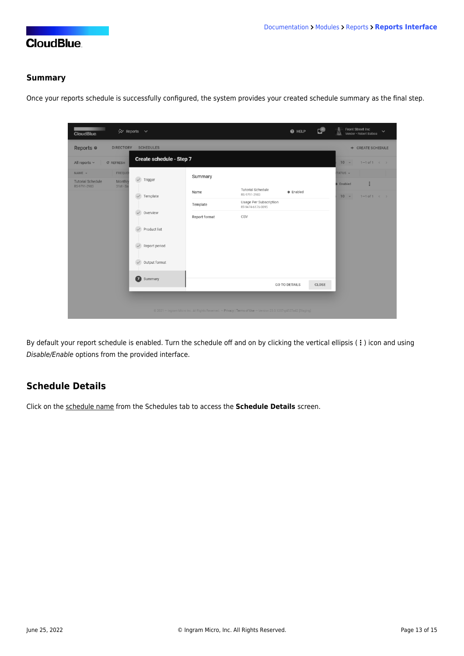### **Summary**

Once your reports schedule is successfully configured, the system provides your created schedule summary as the final step.

| <b>CloudBlue</b>                                                   | ☆ Reports ∨                   |                                                                                                                 |                                             | @ HELP               | ى     | Front Street Inc<br>$\checkmark$<br>Vendor · Robert Balboa |
|--------------------------------------------------------------------|-------------------------------|-----------------------------------------------------------------------------------------------------------------|---------------------------------------------|----------------------|-------|------------------------------------------------------------|
| Reports <sup>®</sup><br><b>DIRECTORY</b>                           | <b>SCHEDULES</b>              |                                                                                                                 |                                             |                      |       | + CREATE SCHEDULE                                          |
| All reports $\vee$<br><b>C REFRESH</b>                             | Create schedule - Step 7      |                                                                                                                 |                                             |                      |       | $10 -$<br>$1 - 1$ of $1 \leq$                              |
| NAME -<br><b>FREQUEI</b>                                           |                               | Summary                                                                                                         |                                             |                      |       | TATUS -                                                    |
| <b>Tutorial Schedule</b><br>Monthly<br>RS-9791-2903<br>$31st - Sa$ | $\sqrt{}$ Trigger             |                                                                                                                 | Tutorial Schedule                           |                      |       | ÷<br><b>B</b> Enabled                                      |
|                                                                    | $\checkmark$<br>Template      | Name                                                                                                            | RS-9791-2903                                | · Enabled            |       | $10 -$<br>$1 - 1$ of $1 \leq$                              |
|                                                                    |                               | Template                                                                                                        | Usage Per Subscription<br>RT-9474-6176-0095 |                      |       |                                                            |
|                                                                    | $\checkmark$<br>Overview      | Report format                                                                                                   | CSV                                         |                      |       |                                                            |
|                                                                    | $\checkmark$<br>Product list  |                                                                                                                 |                                             |                      |       |                                                            |
|                                                                    | Report period<br>$\checkmark$ |                                                                                                                 |                                             |                      |       |                                                            |
|                                                                    | Output format<br>$\checkmark$ |                                                                                                                 |                                             |                      |       |                                                            |
|                                                                    | $\bullet$<br>Summary          |                                                                                                                 |                                             | <b>GO TO DETAILS</b> | CLOSE |                                                            |
|                                                                    |                               | © 2021 - Ingram Micro Inc. All Rights Reserved. - Privacy   Terms of Use - Version 23.0.1207-g4527a42 [Staging] |                                             |                      |       |                                                            |

By default your report schedule is enabled. Turn the schedule off and on by clicking the vertical ellipsis (**⋮**) icon and using Disable/Enable options from the provided interface.

### **Schedule Details**

Click on the schedule name from the Schedules tab to access the **Schedule Details** screen.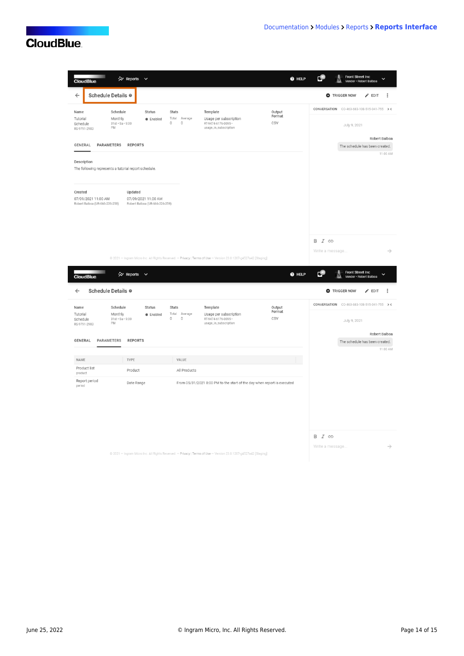L

Ī

| <b>CloudBlue</b>                                                                                        | ☆ Reports ∨                                                      |                                                                    |                                                                                                                 | @ HELP                  |                                 | Front Street Inc<br>Vendor · Robert Balboa                                                 |
|---------------------------------------------------------------------------------------------------------|------------------------------------------------------------------|--------------------------------------------------------------------|-----------------------------------------------------------------------------------------------------------------|-------------------------|---------------------------------|--------------------------------------------------------------------------------------------|
| Schedule Details @<br><b>O</b> TRIGGER NOW<br>$\leftarrow$<br>$\blacktriangleright$ EDIT<br>$\vdots$    |                                                                  |                                                                    |                                                                                                                 |                         |                                 |                                                                                            |
| Schedule<br>Name<br>Monthly<br>Tutorial<br>$31st \cdot Sa \cdot 9:00$<br>Schedule<br>PM<br>RS-9791-2903 | Status<br>· Enabled<br>$\mathbf 0$                               | Stats<br>Total<br>Average<br>$\begin{array}{c} 0 \\ 0 \end{array}$ | Template<br>Usage per subscription<br>RT-9474-6176-0095 ·<br>usage_in_subscription                              | Output<br>Format<br>CSV |                                 | CONVERSATION CO-463-683-108-515-041-755 ><<br>July 9, 2021                                 |
| GENERAL<br>PARAMETERS<br>Description<br>The following represents a tutorial report schedule.            | <b>REPORTS</b>                                                   |                                                                    |                                                                                                                 |                         |                                 | Robert Balboa<br>The schedule has been created.<br>11:00 AM                                |
| Created<br>07/09/2021 11:00 AM<br>Robert Balboa (UR-666-226-259)                                        | Updated<br>07/09/2021 11:00 AM<br>Robert Balboa (UR-666-226-259) |                                                                    |                                                                                                                 |                         |                                 |                                                                                            |
|                                                                                                         | ☆ Reports ∨                                                      |                                                                    | @ 2021 - Ingram Micro Inc. All Rights Reserved. - Privacy   Terms of Use - Version 23.0.1207-g4527a42 [Staging] | @ HELP                  | B I GD<br>Write a message<br>г. | $\rightarrow$<br><b>Front Street Inc</b><br>$\checkmark$                                   |
| <b>CloudBlue</b><br>Schedule Details @<br>$\leftarrow$                                                  |                                                                  |                                                                    |                                                                                                                 |                         |                                 | Vendor · Robert Balboa<br><b>O</b> TRIGGER NOW<br>$\blacktriangleright$ EDIT<br>$\ddot{.}$ |
| Schedule<br>Name                                                                                        | Status                                                           | Stats                                                              | Template                                                                                                        | Output                  |                                 | CONVERSATION CO-463-683-108-515-041-755 ><                                                 |
| Monthly<br>Tutorial<br>$31st - Sa - 9:00$<br>Schedule<br>PM<br>RS-9791-2903<br>GENERAL<br>PARAMETERS    | · Enabled<br>$\mathbb O$<br><b>REPORTS</b>                       | Total<br>Average<br>$\mathbb O$                                    | Usage per subscription<br>RT-9474-6176-0095 ·<br>usage_in_subscription                                          | Format<br>CSV           |                                 | July 9, 2021<br>Robert Balboa<br>The schedule has been created.                            |
|                                                                                                         |                                                                  |                                                                    |                                                                                                                 |                         |                                 | 11:00 AM                                                                                   |
| NAME<br>Product list                                                                                    | TYPE<br>Product                                                  | VALUE<br>All Products                                              |                                                                                                                 |                         |                                 |                                                                                            |
| product<br>Report period<br>period                                                                      | Date Range                                                       |                                                                    | From 05/31/2021 8:00 PM to the start of the day when report is executed                                         |                         |                                 |                                                                                            |
|                                                                                                         |                                                                  |                                                                    |                                                                                                                 |                         | B I GD<br>Write a message.      |                                                                                            |

@ 2021 - Ingram Micro Inc. All Rights Reserved. - Privacy | Terms of Use - Version 23.0.1207-g4527a42 [Staging]